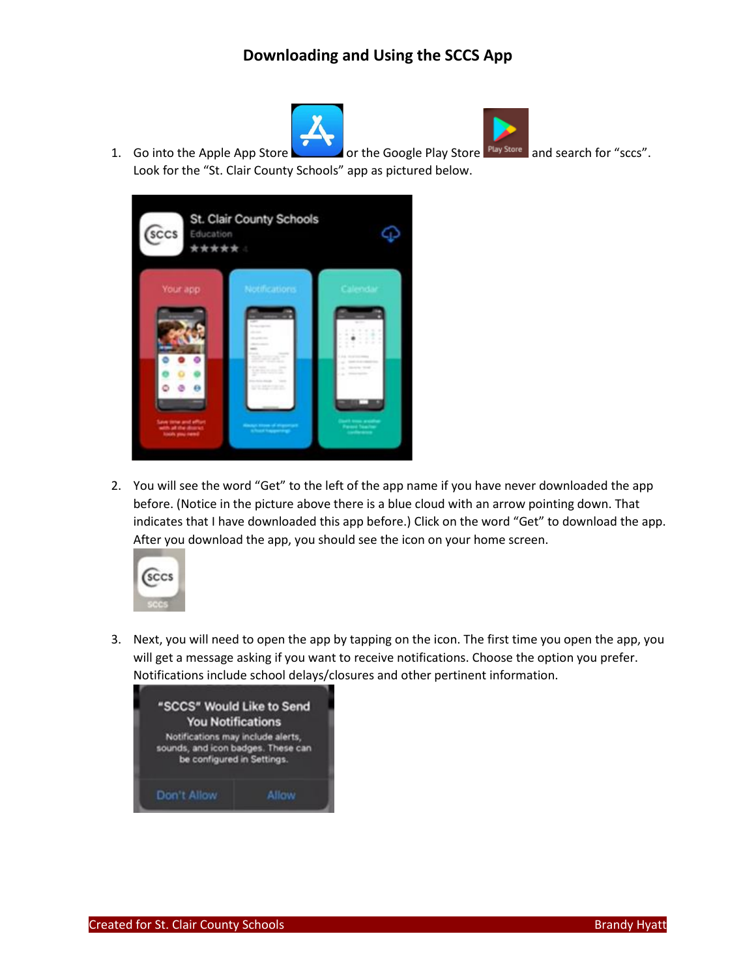



1. Go into the Apple App Store **or the Google Play Store** Play Store and search for "sccs".

Look for the "St. Clair County Schools" app as pictured below. St. Clair County Schools **SCCS** Education Φ \*\*\*\*\*

2. You will see the word "Get" to the left of the app name if you have never downloaded the app before. (Notice in the picture above there is a blue cloud with an arrow pointing down. That indicates that I have downloaded this app before.) Click on the word "Get" to download the app. After you download the app, you should see the icon on your home screen.



3. Next, you will need to open the app by tapping on the icon. The first time you open the app, you will get a message asking if you want to receive notifications. Choose the option you prefer. Notifications include school delays/closures and other pertinent information.

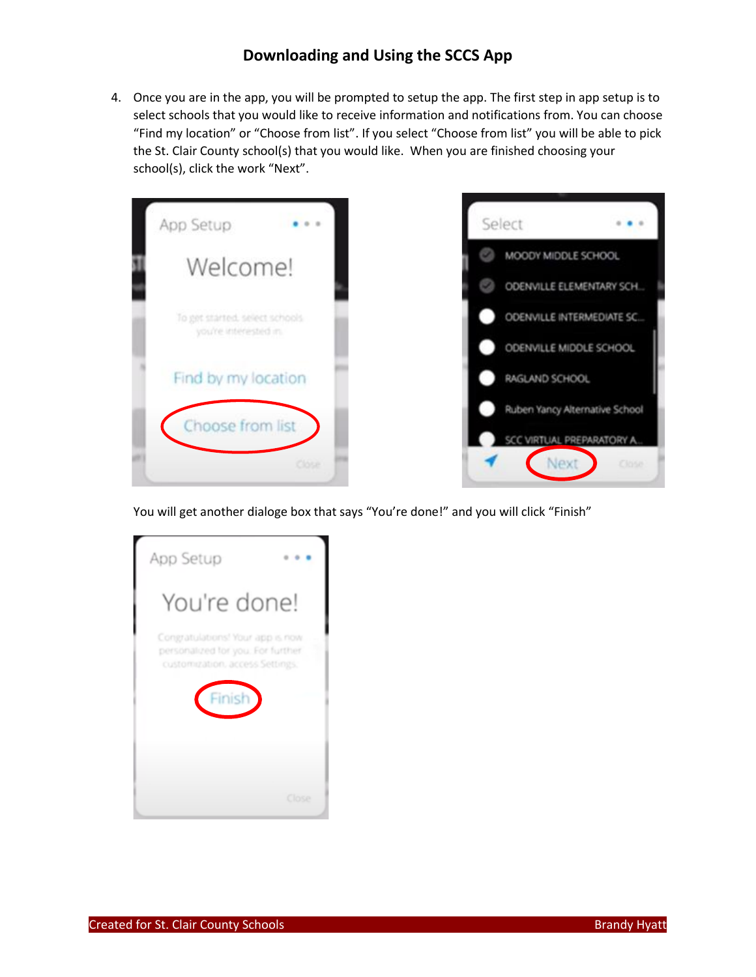4. Once you are in the app, you will be prompted to setup the app. The first step in app setup is to select schools that you would like to receive information and notifications from. You can choose "Find my location" or "Choose from list". If you select "Choose from list" you will be able to pick the St. Clair County school(s) that you would like. When you are finished choosing your school(s), click the work "Next".



You will get another dialoge box that says "You're done!" and you will click "Finish"

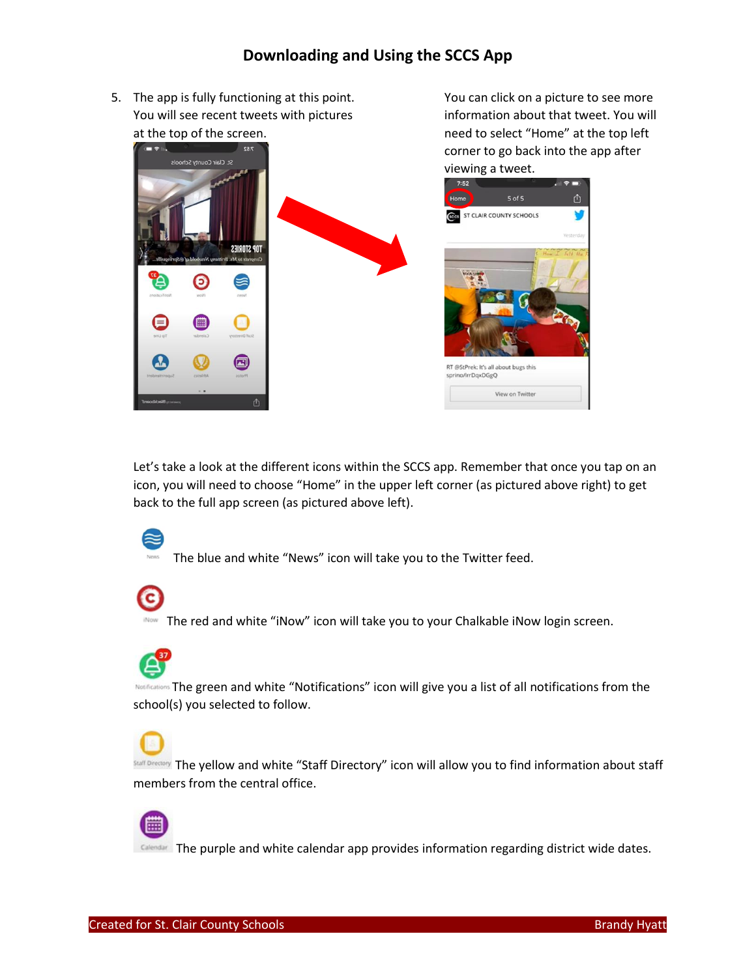You can click on a picture to see more information about that tweet. You will

5. The app is fully functioning at this point. You will see recent tweets with pictures at the top of the screen.



Let's take a look at the different icons within the SCCS app. Remember that once you tap on an icon, you will need to choose "Home" in the upper left corner (as pictured above right) to get back to the full app screen (as pictured above left).



The blue and white "News" icon will take you to the Twitter feed.

**INOW** The red and white "iNow" icon will take you to your Chalkable iNow login screen.

NOTIFICATIONS The green and white "Notifications" icon will give you a list of all notifications from the school(s) you selected to follow.



 $\frac{\text{Staff Dredary}}{\text{Staff Dredary}}$  The yellow and white "Staff Directory" icon will allow you to find information about staff members from the central office.



The purple and white calendar app provides information regarding district wide dates.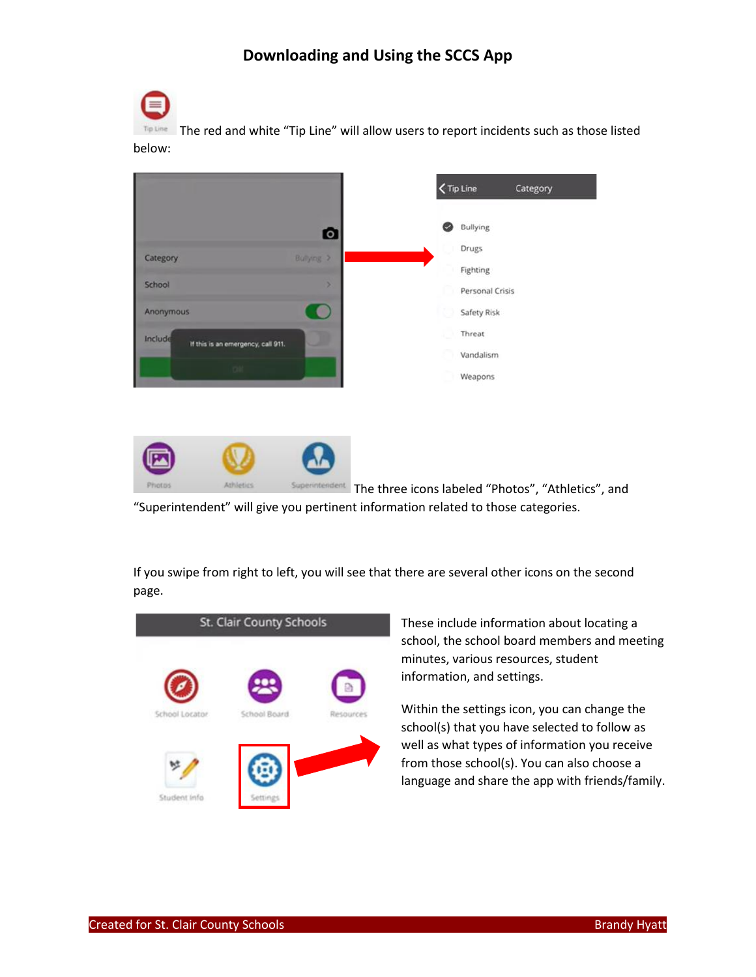

The red and white "Tip Line" will allow users to report incidents such as those listed below:





The three icons labeled "Photos", "Athletics", and "Superintendent" will give you pertinent information related to those categories.

If you swipe from right to left, you will see that there are several other icons on the second page.



These include information about locating a school, the school board members and meeting minutes, various resources, student information, and settings.

Within the settings icon, you can change the school(s) that you have selected to follow as well as what types of information you receive from those school(s). You can also choose a language and share the app with friends/family.